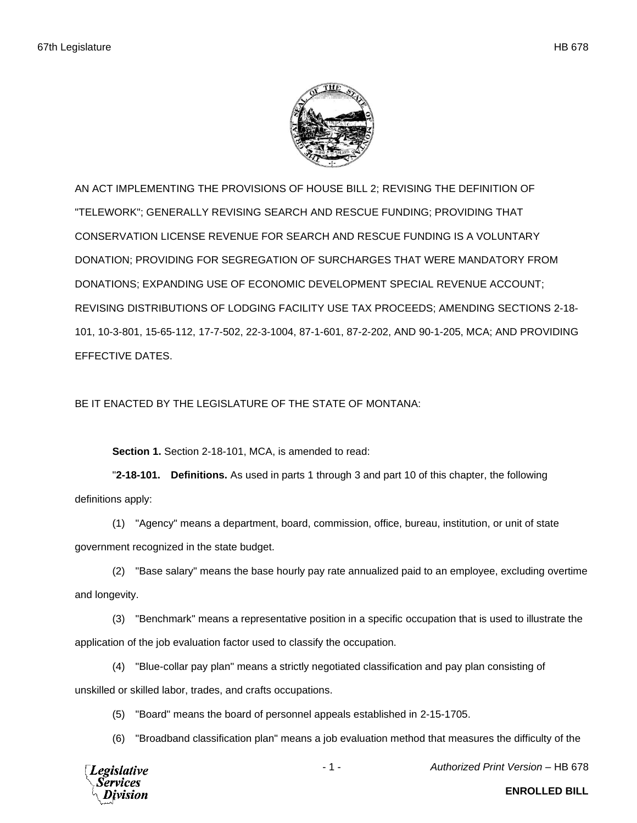

AN ACT IMPLEMENTING THE PROVISIONS OF HOUSE BILL 2; REVISING THE DEFINITION OF "TELEWORK"; GENERALLY REVISING SEARCH AND RESCUE FUNDING; PROVIDING THAT CONSERVATION LICENSE REVENUE FOR SEARCH AND RESCUE FUNDING IS A VOLUNTARY DONATION; PROVIDING FOR SEGREGATION OF SURCHARGES THAT WERE MANDATORY FROM DONATIONS; EXPANDING USE OF ECONOMIC DEVELOPMENT SPECIAL REVENUE ACCOUNT; REVISING DISTRIBUTIONS OF LODGING FACILITY USE TAX PROCEEDS; AMENDING SECTIONS 2-18- 101, 10-3-801, 15-65-112, 17-7-502, 22-3-1004, 87-1-601, 87-2-202, AND 90-1-205, MCA; AND PROVIDING EFFECTIVE DATES.

BE IT ENACTED BY THE LEGISLATURE OF THE STATE OF MONTANA:

**Section 1.** Section 2-18-101, MCA, is amended to read:

"**2-18-101. Definitions.** As used in parts 1 through 3 and part 10 of this chapter, the following definitions apply:

(1) "Agency" means a department, board, commission, office, bureau, institution, or unit of state government recognized in the state budget.

(2) "Base salary" means the base hourly pay rate annualized paid to an employee, excluding overtime and longevity.

(3) "Benchmark" means a representative position in a specific occupation that is used to illustrate the application of the job evaluation factor used to classify the occupation.

(4) "Blue-collar pay plan" means a strictly negotiated classification and pay plan consisting of unskilled or skilled labor, trades, and crafts occupations.

(5) "Board" means the board of personnel appeals established in 2-15-1705.

(6) "Broadband classification plan" means a job evaluation method that measures the difficulty of the



- 1 - *Authorized Print Version* – HB 678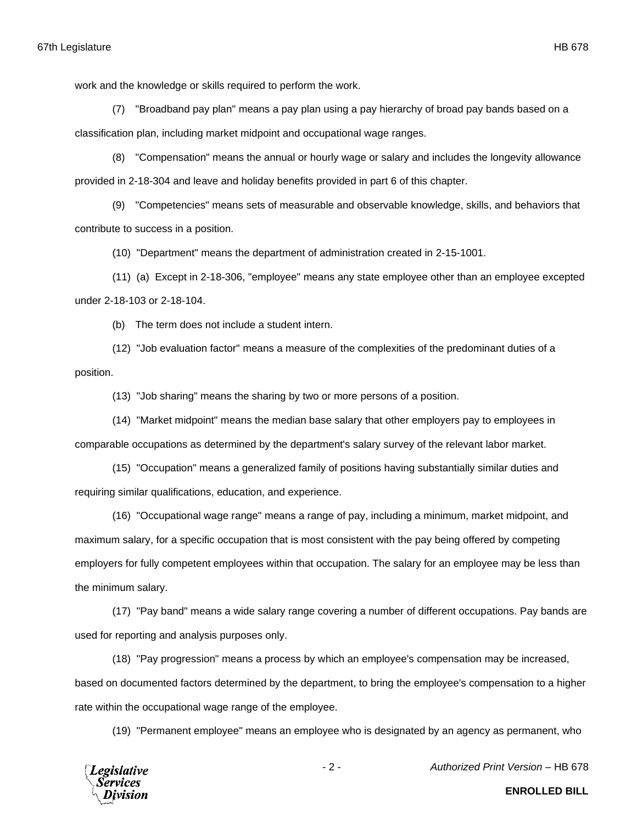work and the knowledge or skills required to perform the work.

(7) "Broadband pay plan" means a pay plan using a pay hierarchy of broad pay bands based on a classification plan, including market midpoint and occupational wage ranges.

(8) "Compensation" means the annual or hourly wage or salary and includes the longevity allowance provided in 2-18-304 and leave and holiday benefits provided in part 6 of this chapter.

(9) "Competencies" means sets of measurable and observable knowledge, skills, and behaviors that contribute to success in a position.

(10) "Department" means the department of administration created in 2-15-1001.

(11) (a) Except in 2-18-306, "employee" means any state employee other than an employee excepted under 2-18-103 or 2-18-104.

(b) The term does not include a student intern.

(12) "Job evaluation factor" means a measure of the complexities of the predominant duties of a position.

(13) "Job sharing" means the sharing by two or more persons of a position.

(14) "Market midpoint" means the median base salary that other employers pay to employees in comparable occupations as determined by the department's salary survey of the relevant labor market.

(15) "Occupation" means a generalized family of positions having substantially similar duties and requiring similar qualifications, education, and experience.

(16) "Occupational wage range" means a range of pay, including a minimum, market midpoint, and maximum salary, for a specific occupation that is most consistent with the pay being offered by competing employers for fully competent employees within that occupation. The salary for an employee may be less than the minimum salary.

(17) "Pay band" means a wide salary range covering a number of different occupations. Pay bands are used for reporting and analysis purposes only.

(18) "Pay progression" means a process by which an employee's compensation may be increased, based on documented factors determined by the department, to bring the employee's compensation to a higher rate within the occupational wage range of the employee.

(19) "Permanent employee" means an employee who is designated by an agency as permanent, who



- 2 - *Authorized Print Version* – HB 678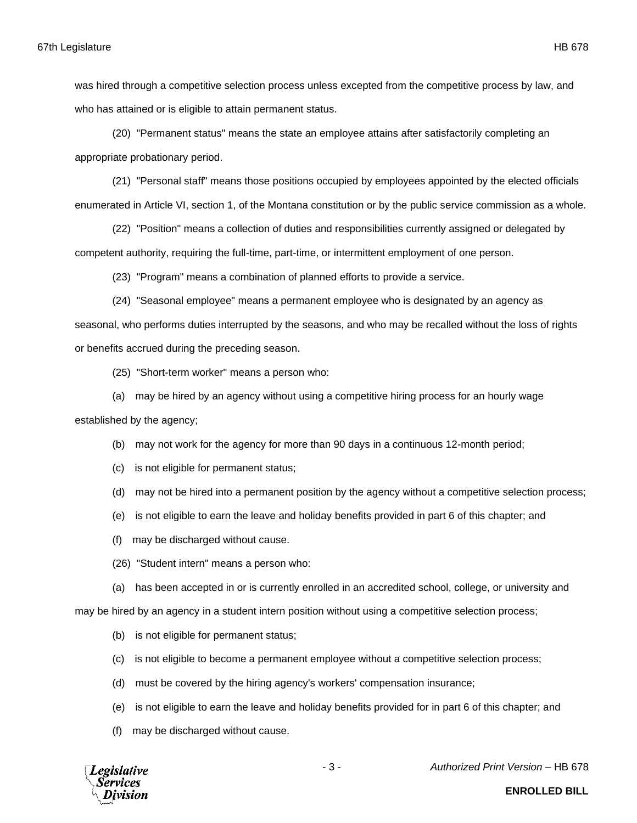was hired through a competitive selection process unless excepted from the competitive process by law, and who has attained or is eligible to attain permanent status.

(20) "Permanent status" means the state an employee attains after satisfactorily completing an appropriate probationary period.

(21) "Personal staff" means those positions occupied by employees appointed by the elected officials enumerated in Article VI, section 1, of the Montana constitution or by the public service commission as a whole.

(22) "Position" means a collection of duties and responsibilities currently assigned or delegated by competent authority, requiring the full-time, part-time, or intermittent employment of one person.

(23) "Program" means a combination of planned efforts to provide a service.

(24) "Seasonal employee" means a permanent employee who is designated by an agency as

seasonal, who performs duties interrupted by the seasons, and who may be recalled without the loss of rights or benefits accrued during the preceding season.

(25) "Short-term worker" means a person who:

(a) may be hired by an agency without using a competitive hiring process for an hourly wage established by the agency;

- (b) may not work for the agency for more than 90 days in a continuous 12-month period;
- (c) is not eligible for permanent status;
- (d) may not be hired into a permanent position by the agency without a competitive selection process;
- (e) is not eligible to earn the leave and holiday benefits provided in part 6 of this chapter; and
- (f) may be discharged without cause.
- (26) "Student intern" means a person who:
- (a) has been accepted in or is currently enrolled in an accredited school, college, or university and

may be hired by an agency in a student intern position without using a competitive selection process;

- (b) is not eligible for permanent status;
- (c) is not eligible to become a permanent employee without a competitive selection process;
- (d) must be covered by the hiring agency's workers' compensation insurance;
- (e) is not eligible to earn the leave and holiday benefits provided for in part 6 of this chapter; and
- (f) may be discharged without cause.



- 3 - *Authorized Print Version* – HB 678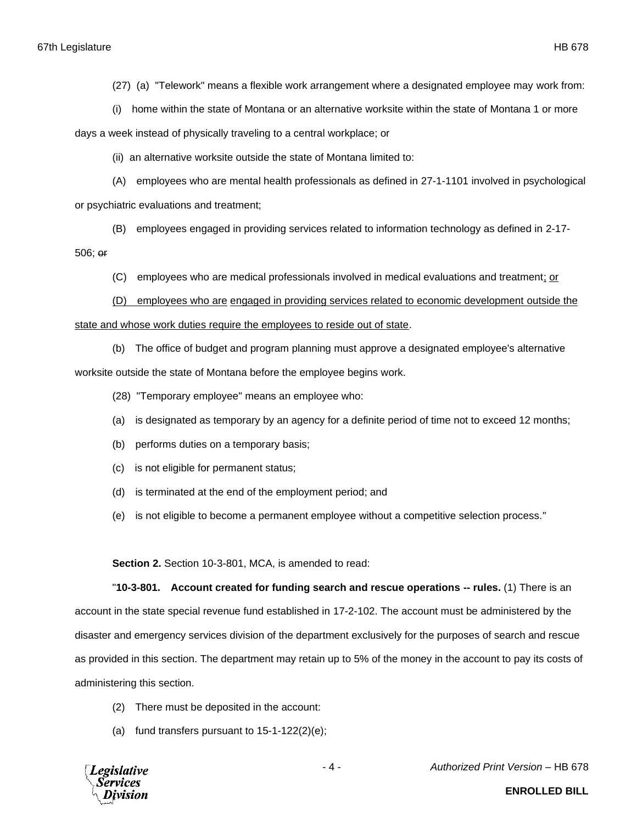(27) (a) "Telework" means a flexible work arrangement where a designated employee may work from:

(i) home within the state of Montana or an alternative worksite within the state of Montana 1 or more

days a week instead of physically traveling to a central workplace; or

(ii) an alternative worksite outside the state of Montana limited to:

(A) employees who are mental health professionals as defined in 27-1-1101 involved in psychological or psychiatric evaluations and treatment;

(B) employees engaged in providing services related to information technology as defined in 2-17-

506; or

(C) employees who are medical professionals involved in medical evaluations and treatment; or

(D) employees who are engaged in providing services related to economic development outside the state and whose work duties require the employees to reside out of state.

(b) The office of budget and program planning must approve a designated employee's alternative worksite outside the state of Montana before the employee begins work.

(28) "Temporary employee" means an employee who:

(a) is designated as temporary by an agency for a definite period of time not to exceed 12 months;

(b) performs duties on a temporary basis;

(c) is not eligible for permanent status;

(d) is terminated at the end of the employment period; and

(e) is not eligible to become a permanent employee without a competitive selection process."

**Section 2.** Section 10-3-801, MCA, is amended to read:

"**10-3-801. Account created for funding search and rescue operations -- rules.** (1) There is an account in the state special revenue fund established in 17-2-102. The account must be administered by the disaster and emergency services division of the department exclusively for the purposes of search and rescue as provided in this section. The department may retain up to 5% of the money in the account to pay its costs of administering this section.

- (2) There must be deposited in the account:
- (a) fund transfers pursuant to  $15-1-122(2)(e)$ ;

**Legislative Services** 

- 4 - *Authorized Print Version* – HB 678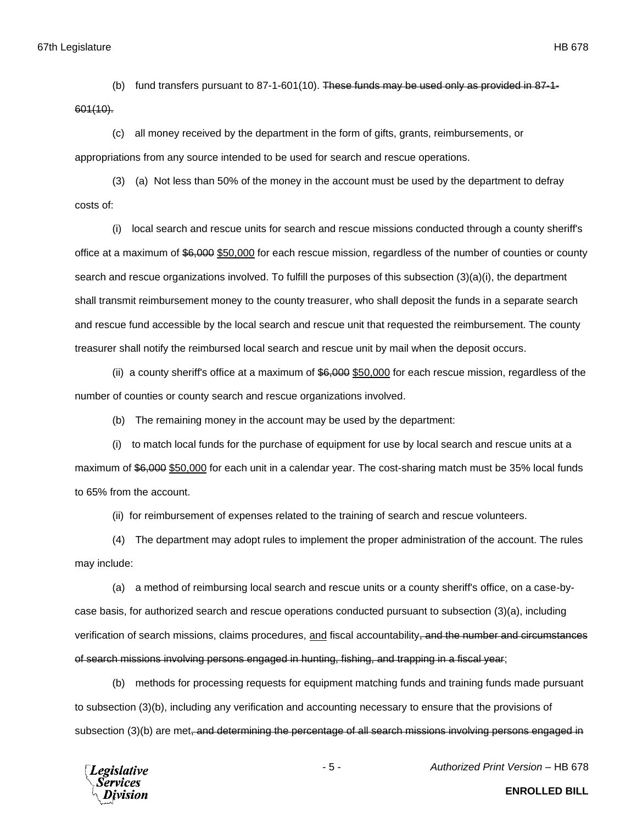(b) fund transfers pursuant to 87-1-601(10). These funds may be used only as provided in 87-1- 601(10).

(c) all money received by the department in the form of gifts, grants, reimbursements, or appropriations from any source intended to be used for search and rescue operations.

(3) (a) Not less than 50% of the money in the account must be used by the department to defray costs of:

(i) local search and rescue units for search and rescue missions conducted through a county sheriff's office at a maximum of \$6,000 \$50,000 for each rescue mission, regardless of the number of counties or county search and rescue organizations involved. To fulfill the purposes of this subsection (3)(a)(i), the department shall transmit reimbursement money to the county treasurer, who shall deposit the funds in a separate search and rescue fund accessible by the local search and rescue unit that requested the reimbursement. The county treasurer shall notify the reimbursed local search and rescue unit by mail when the deposit occurs.

(ii) a county sheriff's office at a maximum of \$6,000 \$50,000 for each rescue mission, regardless of the number of counties or county search and rescue organizations involved.

(b) The remaining money in the account may be used by the department:

(i) to match local funds for the purchase of equipment for use by local search and rescue units at a maximum of \$6,000 \$50,000 for each unit in a calendar year. The cost-sharing match must be 35% local funds to 65% from the account.

(ii) for reimbursement of expenses related to the training of search and rescue volunteers.

(4) The department may adopt rules to implement the proper administration of the account. The rules may include:

(a) a method of reimbursing local search and rescue units or a county sheriff's office, on a case-bycase basis, for authorized search and rescue operations conducted pursuant to subsection (3)(a), including verification of search missions, claims procedures, and fiscal accountability, and the number and circumstances of search missions involving persons engaged in hunting, fishing, and trapping in a fiscal year;

(b) methods for processing requests for equipment matching funds and training funds made pursuant to subsection (3)(b), including any verification and accounting necessary to ensure that the provisions of subsection (3)(b) are met, and determining the percentage of all search missions involving persons engaged in



- 5 - *Authorized Print Version* – HB 678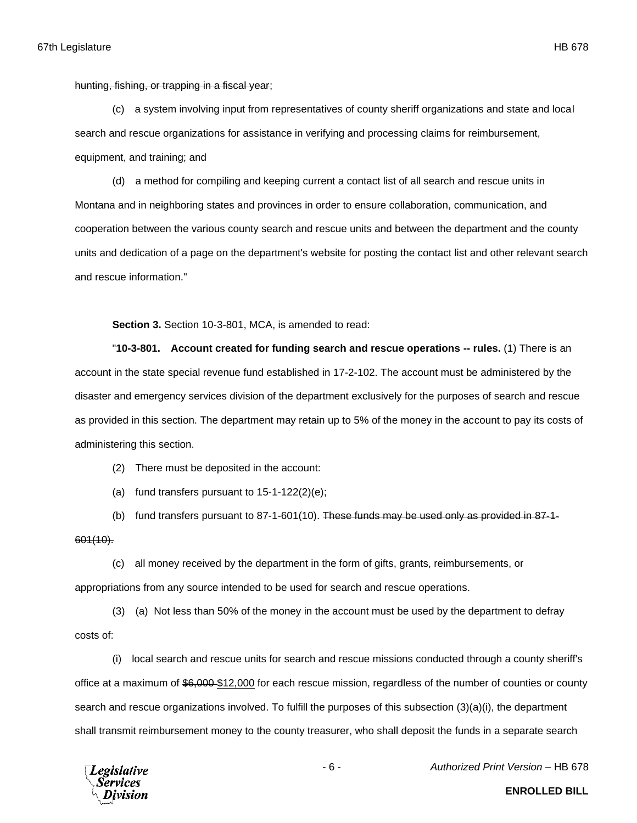hunting, fishing, or trapping in a fiscal year;

(c) a system involving input from representatives of county sheriff organizations and state and local search and rescue organizations for assistance in verifying and processing claims for reimbursement, equipment, and training; and

(d) a method for compiling and keeping current a contact list of all search and rescue units in Montana and in neighboring states and provinces in order to ensure collaboration, communication, and cooperation between the various county search and rescue units and between the department and the county units and dedication of a page on the department's website for posting the contact list and other relevant search and rescue information."

**Section 3.** Section 10-3-801, MCA, is amended to read:

"**10-3-801. Account created for funding search and rescue operations -- rules.** (1) There is an account in the state special revenue fund established in 17-2-102. The account must be administered by the disaster and emergency services division of the department exclusively for the purposes of search and rescue as provided in this section. The department may retain up to 5% of the money in the account to pay its costs of administering this section.

(2) There must be deposited in the account:

(a) fund transfers pursuant to  $15-1-122(2)(e)$ ;

(b) fund transfers pursuant to 87-1-601(10). These funds may be used only as provided in 87-1- 601(10).

(c) all money received by the department in the form of gifts, grants, reimbursements, or appropriations from any source intended to be used for search and rescue operations.

(3) (a) Not less than 50% of the money in the account must be used by the department to defray costs of:

(i) local search and rescue units for search and rescue missions conducted through a county sheriff's office at a maximum of \$6,000 \$12,000 for each rescue mission, regardless of the number of counties or county search and rescue organizations involved. To fulfill the purposes of this subsection (3)(a)(i), the department shall transmit reimbursement money to the county treasurer, who shall deposit the funds in a separate search

**Legislative** 'ervices

- 6 - *Authorized Print Version* – HB 678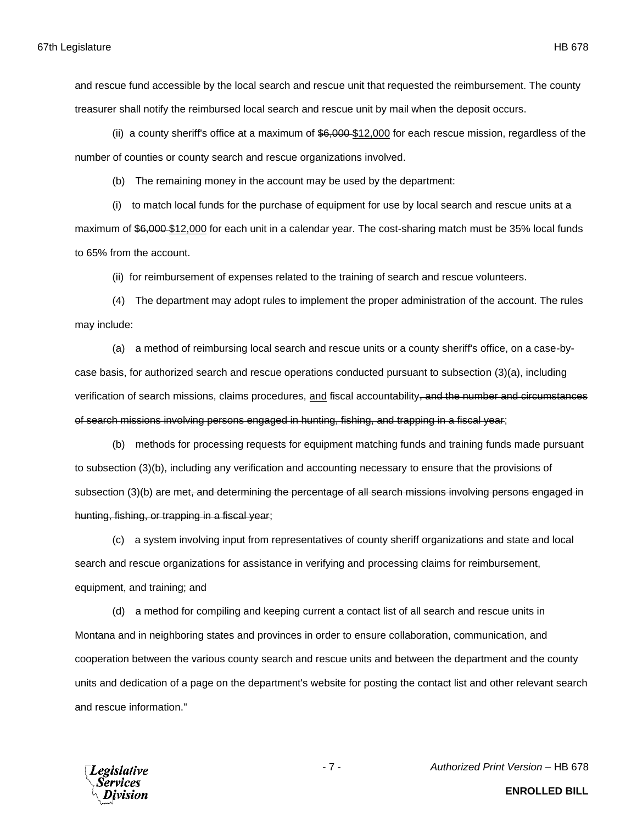and rescue fund accessible by the local search and rescue unit that requested the reimbursement. The county treasurer shall notify the reimbursed local search and rescue unit by mail when the deposit occurs.

(ii) a county sheriff's office at a maximum of  $$6,000$  \$12,000 for each rescue mission, regardless of the number of counties or county search and rescue organizations involved.

(b) The remaining money in the account may be used by the department:

(i) to match local funds for the purchase of equipment for use by local search and rescue units at a maximum of \$6,000-\$12,000 for each unit in a calendar year. The cost-sharing match must be 35% local funds to 65% from the account.

(ii) for reimbursement of expenses related to the training of search and rescue volunteers.

(4) The department may adopt rules to implement the proper administration of the account. The rules may include:

(a) a method of reimbursing local search and rescue units or a county sheriff's office, on a case-bycase basis, for authorized search and rescue operations conducted pursuant to subsection (3)(a), including verification of search missions, claims procedures, and fiscal accountability, and the number and circumstances of search missions involving persons engaged in hunting, fishing, and trapping in a fiscal year;

(b) methods for processing requests for equipment matching funds and training funds made pursuant to subsection (3)(b), including any verification and accounting necessary to ensure that the provisions of subsection (3)(b) are met, and determining the percentage of all search missions involving persons engaged in hunting, fishing, or trapping in a fiscal year;

(c) a system involving input from representatives of county sheriff organizations and state and local search and rescue organizations for assistance in verifying and processing claims for reimbursement, equipment, and training; and

(d) a method for compiling and keeping current a contact list of all search and rescue units in Montana and in neighboring states and provinces in order to ensure collaboration, communication, and cooperation between the various county search and rescue units and between the department and the county units and dedication of a page on the department's website for posting the contact list and other relevant search and rescue information."



**ENROLLED BILL**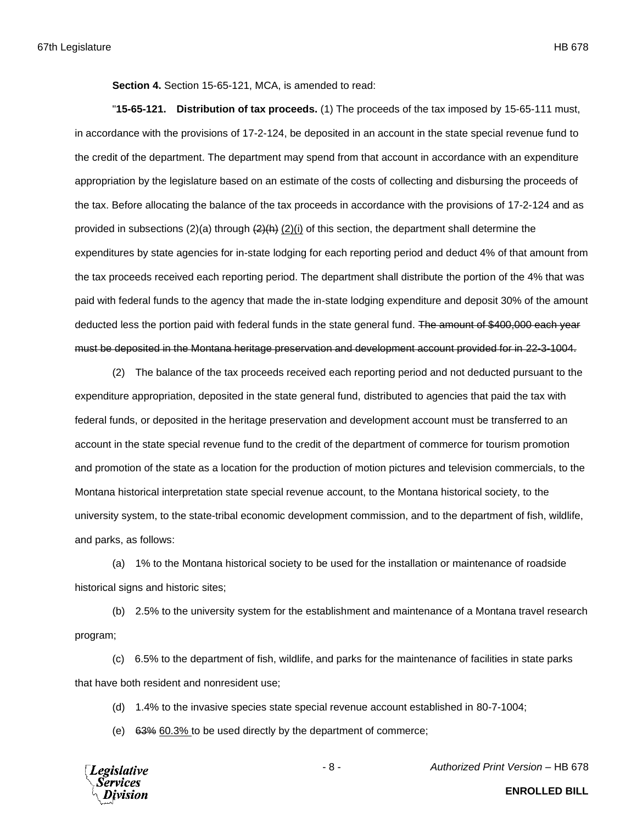**Section 4.** Section 15-65-121, MCA, is amended to read:

"**15-65-121. Distribution of tax proceeds.** (1) The proceeds of the tax imposed by 15-65-111 must, in accordance with the provisions of 17-2-124, be deposited in an account in the state special revenue fund to the credit of the department. The department may spend from that account in accordance with an expenditure appropriation by the legislature based on an estimate of the costs of collecting and disbursing the proceeds of the tax. Before allocating the balance of the tax proceeds in accordance with the provisions of 17-2-124 and as provided in subsections (2)(a) through  $(2)(h)$  (2)(i) of this section, the department shall determine the expenditures by state agencies for in-state lodging for each reporting period and deduct 4% of that amount from the tax proceeds received each reporting period. The department shall distribute the portion of the 4% that was paid with federal funds to the agency that made the in-state lodging expenditure and deposit 30% of the amount deducted less the portion paid with federal funds in the state general fund. The amount of \$400,000 each year must be deposited in the Montana heritage preservation and development account provided for in 22-3-1004.

(2) The balance of the tax proceeds received each reporting period and not deducted pursuant to the expenditure appropriation, deposited in the state general fund, distributed to agencies that paid the tax with federal funds, or deposited in the heritage preservation and development account must be transferred to an account in the state special revenue fund to the credit of the department of commerce for tourism promotion and promotion of the state as a location for the production of motion pictures and television commercials, to the Montana historical interpretation state special revenue account, to the Montana historical society, to the university system, to the state-tribal economic development commission, and to the department of fish, wildlife, and parks, as follows:

(a) 1% to the Montana historical society to be used for the installation or maintenance of roadside historical signs and historic sites;

(b) 2.5% to the university system for the establishment and maintenance of a Montana travel research program;

(c) 6.5% to the department of fish, wildlife, and parks for the maintenance of facilities in state parks that have both resident and nonresident use;

(d) 1.4% to the invasive species state special revenue account established in 80-7-1004;

(e) 63% 60.3% to be used directly by the department of commerce;

**Legislative** Services

- 8 - *Authorized Print Version* – HB 678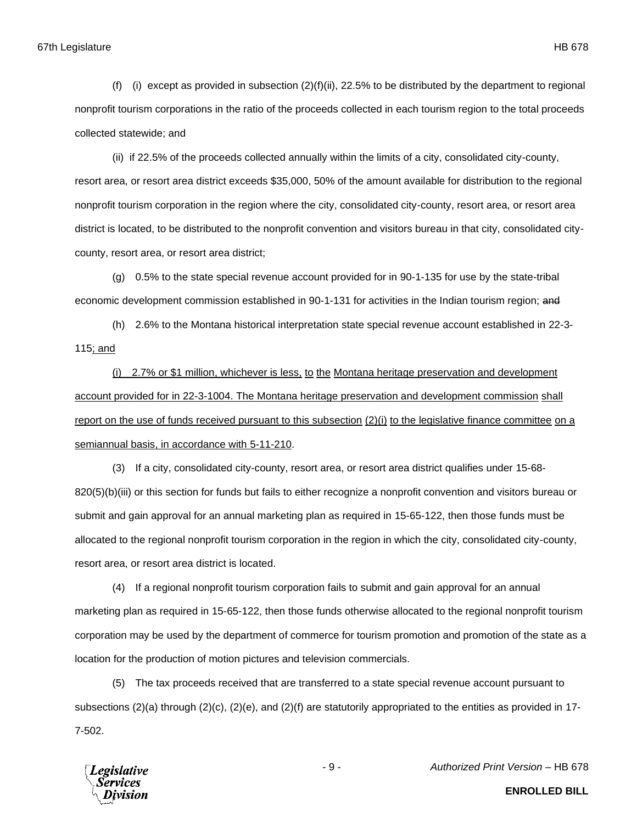67th Legislature HB 678

(f) (i) except as provided in subsection  $(2)(f)(ii)$ , 22.5% to be distributed by the department to regional nonprofit tourism corporations in the ratio of the proceeds collected in each tourism region to the total proceeds collected statewide; and

(ii) if 22.5% of the proceeds collected annually within the limits of a city, consolidated city-county, resort area, or resort area district exceeds \$35,000, 50% of the amount available for distribution to the regional nonprofit tourism corporation in the region where the city, consolidated city-county, resort area, or resort area district is located, to be distributed to the nonprofit convention and visitors bureau in that city, consolidated citycounty, resort area, or resort area district;

(g) 0.5% to the state special revenue account provided for in 90-1-135 for use by the state-tribal economic development commission established in 90-1-131 for activities in the Indian tourism region; and

(h) 2.6% to the Montana historical interpretation state special revenue account established in 22-3- 115; and

(i) 2.7% or \$1 million, whichever is less, to the Montana heritage preservation and development account provided for in 22-3-1004. The Montana heritage preservation and development commission shall report on the use of funds received pursuant to this subsection (2)(i) to the legislative finance committee on a semiannual basis, in accordance with 5-11-210.

(3) If a city, consolidated city-county, resort area, or resort area district qualifies under 15-68- 820(5)(b)(iii) or this section for funds but fails to either recognize a nonprofit convention and visitors bureau or submit and gain approval for an annual marketing plan as required in 15-65-122, then those funds must be allocated to the regional nonprofit tourism corporation in the region in which the city, consolidated city-county, resort area, or resort area district is located.

(4) If a regional nonprofit tourism corporation fails to submit and gain approval for an annual marketing plan as required in 15-65-122, then those funds otherwise allocated to the regional nonprofit tourism corporation may be used by the department of commerce for tourism promotion and promotion of the state as a location for the production of motion pictures and television commercials.

(5) The tax proceeds received that are transferred to a state special revenue account pursuant to subsections  $(2)(a)$  through  $(2)(c)$ ,  $(2)(e)$ , and  $(2)(f)$  are statutorily appropriated to the entities as provided in 17-7-502.



**ENROLLED BILL**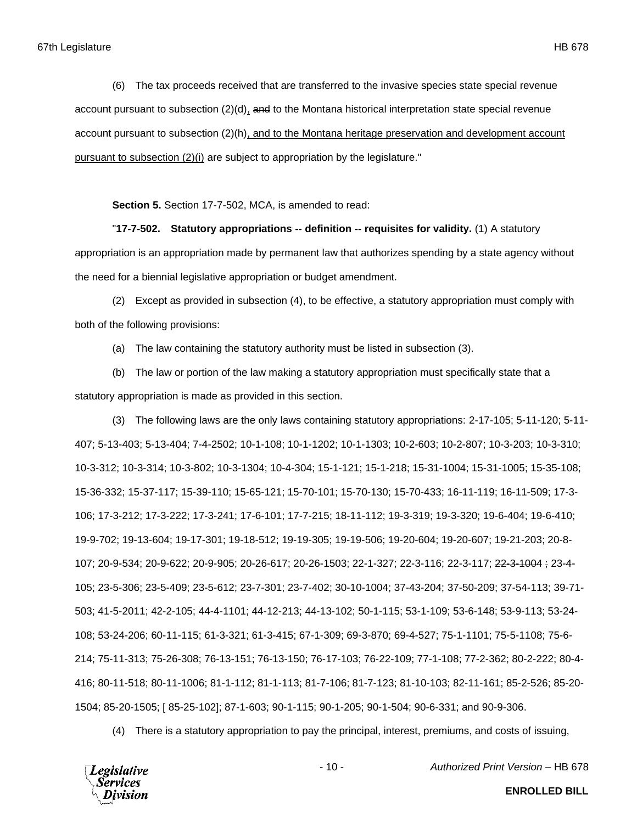(6) The tax proceeds received that are transferred to the invasive species state special revenue account pursuant to subsection (2)(d), and to the Montana historical interpretation state special revenue account pursuant to subsection (2)(h), and to the Montana heritage preservation and development account pursuant to subsection (2)(i) are subject to appropriation by the legislature."

**Section 5.** Section 17-7-502, MCA, is amended to read:

"**17-7-502. Statutory appropriations -- definition -- requisites for validity.** (1) A statutory appropriation is an appropriation made by permanent law that authorizes spending by a state agency without the need for a biennial legislative appropriation or budget amendment.

(2) Except as provided in subsection (4), to be effective, a statutory appropriation must comply with both of the following provisions:

(a) The law containing the statutory authority must be listed in subsection (3).

(b) The law or portion of the law making a statutory appropriation must specifically state that a statutory appropriation is made as provided in this section.

(3) The following laws are the only laws containing statutory appropriations: 2-17-105; 5-11-120; 5-11- 407; 5-13-403; 5-13-404; 7-4-2502; 10-1-108; 10-1-1202; 10-1-1303; 10-2-603; 10-2-807; 10-3-203; 10-3-310; 10-3-312; 10-3-314; 10-3-802; 10-3-1304; 10-4-304; 15-1-121; 15-1-218; 15-31-1004; 15-31-1005; 15-35-108; 15-36-332; 15-37-117; 15-39-110; 15-65-121; 15-70-101; 15-70-130; 15-70-433; 16-11-119; 16-11-509; 17-3- 106; 17-3-212; 17-3-222; 17-3-241; 17-6-101; 17-7-215; 18-11-112; 19-3-319; 19-3-320; 19-6-404; 19-6-410; 19-9-702; 19-13-604; 19-17-301; 19-18-512; 19-19-305; 19-19-506; 19-20-604; 19-20-607; 19-21-203; 20-8- 107; 20-9-534; 20-9-622; 20-9-905; 20-26-617; 20-26-1503; 22-1-327; 22-3-116; 22-3-117; 22-3-1004 ; 23-4- 105; 23-5-306; 23-5-409; 23-5-612; 23-7-301; 23-7-402; 30-10-1004; 37-43-204; 37-50-209; 37-54-113; 39-71- 503; 41-5-2011; 42-2-105; 44-4-1101; 44-12-213; 44-13-102; 50-1-115; 53-1-109; 53-6-148; 53-9-113; 53-24- 108; 53-24-206; 60-11-115; 61-3-321; 61-3-415; 67-1-309; 69-3-870; 69-4-527; 75-1-1101; 75-5-1108; 75-6- 214; 75-11-313; 75-26-308; 76-13-151; 76-13-150; 76-17-103; 76-22-109; 77-1-108; 77-2-362; 80-2-222; 80-4- 416; 80-11-518; 80-11-1006; 81-1-112; 81-1-113; 81-7-106; 81-7-123; 81-10-103; 82-11-161; 85-2-526; 85-20- 1504; 85-20-1505; [ 85-25-102]; 87-1-603; 90-1-115; 90-1-205; 90-1-504; 90-6-331; and 90-9-306.

(4) There is a statutory appropriation to pay the principal, interest, premiums, and costs of issuing,



- 10 - *Authorized Print Version* – HB 678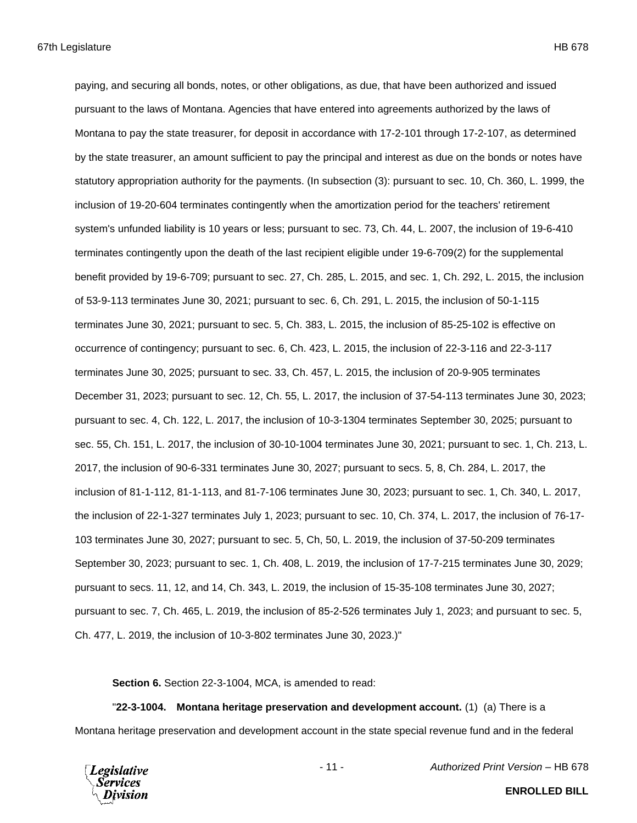paying, and securing all bonds, notes, or other obligations, as due, that have been authorized and issued pursuant to the laws of Montana. Agencies that have entered into agreements authorized by the laws of Montana to pay the state treasurer, for deposit in accordance with 17-2-101 through 17-2-107, as determined by the state treasurer, an amount sufficient to pay the principal and interest as due on the bonds or notes have statutory appropriation authority for the payments. (In subsection (3): pursuant to sec. 10, Ch. 360, L. 1999, the inclusion of 19-20-604 terminates contingently when the amortization period for the teachers' retirement system's unfunded liability is 10 years or less; pursuant to sec. 73, Ch. 44, L. 2007, the inclusion of 19-6-410 terminates contingently upon the death of the last recipient eligible under 19-6-709(2) for the supplemental benefit provided by 19-6-709; pursuant to sec. 27, Ch. 285, L. 2015, and sec. 1, Ch. 292, L. 2015, the inclusion of 53-9-113 terminates June 30, 2021; pursuant to sec. 6, Ch. 291, L. 2015, the inclusion of 50-1-115 terminates June 30, 2021; pursuant to sec. 5, Ch. 383, L. 2015, the inclusion of 85-25-102 is effective on occurrence of contingency; pursuant to sec. 6, Ch. 423, L. 2015, the inclusion of 22-3-116 and 22-3-117 terminates June 30, 2025; pursuant to sec. 33, Ch. 457, L. 2015, the inclusion of 20-9-905 terminates December 31, 2023; pursuant to sec. 12, Ch. 55, L. 2017, the inclusion of 37-54-113 terminates June 30, 2023; pursuant to sec. 4, Ch. 122, L. 2017, the inclusion of 10-3-1304 terminates September 30, 2025; pursuant to sec. 55, Ch. 151, L. 2017, the inclusion of 30-10-1004 terminates June 30, 2021; pursuant to sec. 1, Ch. 213, L. 2017, the inclusion of 90-6-331 terminates June 30, 2027; pursuant to secs. 5, 8, Ch. 284, L. 2017, the inclusion of 81-1-112, 81-1-113, and 81-7-106 terminates June 30, 2023; pursuant to sec. 1, Ch. 340, L. 2017, the inclusion of 22-1-327 terminates July 1, 2023; pursuant to sec. 10, Ch. 374, L. 2017, the inclusion of 76-17- 103 terminates June 30, 2027; pursuant to sec. 5, Ch, 50, L. 2019, the inclusion of 37-50-209 terminates September 30, 2023; pursuant to sec. 1, Ch. 408, L. 2019, the inclusion of 17-7-215 terminates June 30, 2029; pursuant to secs. 11, 12, and 14, Ch. 343, L. 2019, the inclusion of 15-35-108 terminates June 30, 2027; pursuant to sec. 7, Ch. 465, L. 2019, the inclusion of 85-2-526 terminates July 1, 2023; and pursuant to sec. 5, Ch. 477, L. 2019, the inclusion of 10-3-802 terminates June 30, 2023.)"

**Section 6.** Section 22-3-1004, MCA, is amended to read:

"**22-3-1004. Montana heritage preservation and development account.** (1) (a) There is a Montana heritage preservation and development account in the state special revenue fund and in the federal



- 11 - *Authorized Print Version* – HB 678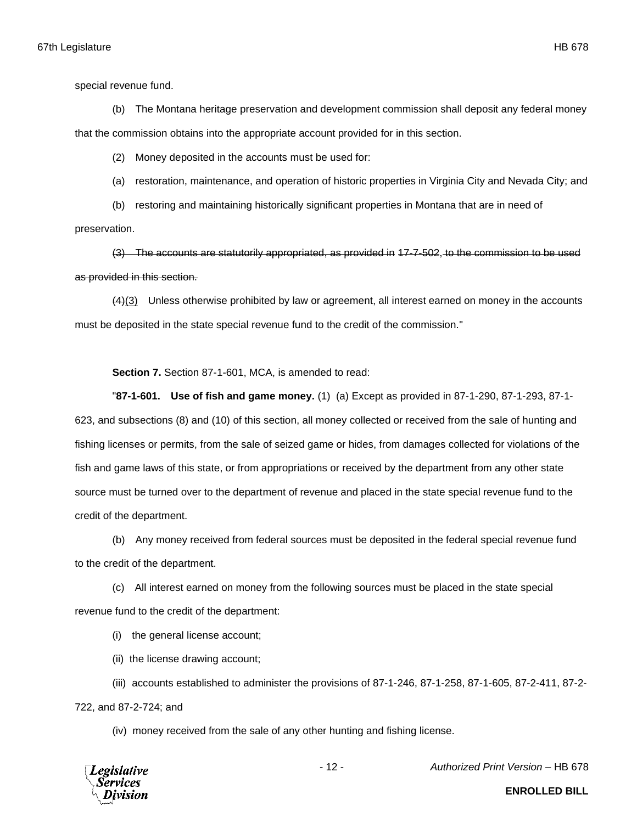special revenue fund.

(b) The Montana heritage preservation and development commission shall deposit any federal money that the commission obtains into the appropriate account provided for in this section.

(2) Money deposited in the accounts must be used for:

(a) restoration, maintenance, and operation of historic properties in Virginia City and Nevada City; and

(b) restoring and maintaining historically significant properties in Montana that are in need of

preservation.

(3) The accounts are statutorily appropriated, as provided in 17-7-502, to the commission to be used as provided in this section.

(4)(3) Unless otherwise prohibited by law or agreement, all interest earned on money in the accounts must be deposited in the state special revenue fund to the credit of the commission."

**Section 7.** Section 87-1-601, MCA, is amended to read:

"**87-1-601. Use of fish and game money.** (1) (a) Except as provided in 87-1-290, 87-1-293, 87-1- 623, and subsections (8) and (10) of this section, all money collected or received from the sale of hunting and fishing licenses or permits, from the sale of seized game or hides, from damages collected for violations of the fish and game laws of this state, or from appropriations or received by the department from any other state source must be turned over to the department of revenue and placed in the state special revenue fund to the credit of the department.

(b) Any money received from federal sources must be deposited in the federal special revenue fund to the credit of the department.

(c) All interest earned on money from the following sources must be placed in the state special revenue fund to the credit of the department:

(i) the general license account;

(ii) the license drawing account;

(iii) accounts established to administer the provisions of 87-1-246, 87-1-258, 87-1-605, 87-2-411, 87-2- 722, and 87-2-724; and

(iv) money received from the sale of any other hunting and fishing license.



- 12 - *Authorized Print Version* – HB 678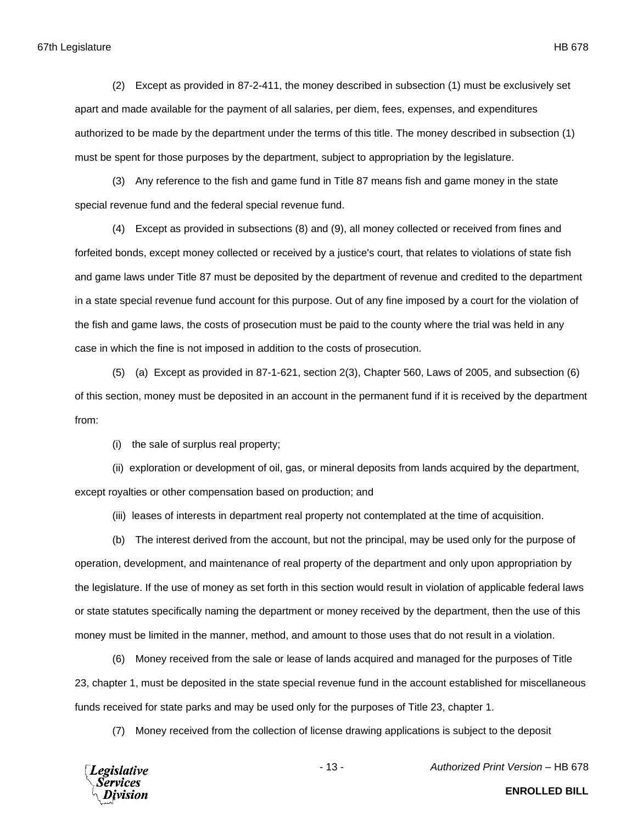(2) Except as provided in 87-2-411, the money described in subsection (1) must be exclusively set apart and made available for the payment of all salaries, per diem, fees, expenses, and expenditures authorized to be made by the department under the terms of this title. The money described in subsection (1) must be spent for those purposes by the department, subject to appropriation by the legislature.

(3) Any reference to the fish and game fund in Title 87 means fish and game money in the state special revenue fund and the federal special revenue fund.

(4) Except as provided in subsections (8) and (9), all money collected or received from fines and forfeited bonds, except money collected or received by a justice's court, that relates to violations of state fish and game laws under Title 87 must be deposited by the department of revenue and credited to the department in a state special revenue fund account for this purpose. Out of any fine imposed by a court for the violation of the fish and game laws, the costs of prosecution must be paid to the county where the trial was held in any case in which the fine is not imposed in addition to the costs of prosecution.

(5) (a) Except as provided in 87-1-621, section 2(3), Chapter 560, Laws of 2005, and subsection (6) of this section, money must be deposited in an account in the permanent fund if it is received by the department from:

(i) the sale of surplus real property;

(ii) exploration or development of oil, gas, or mineral deposits from lands acquired by the department, except royalties or other compensation based on production; and

(iii) leases of interests in department real property not contemplated at the time of acquisition.

(b) The interest derived from the account, but not the principal, may be used only for the purpose of operation, development, and maintenance of real property of the department and only upon appropriation by the legislature. If the use of money as set forth in this section would result in violation of applicable federal laws or state statutes specifically naming the department or money received by the department, then the use of this money must be limited in the manner, method, and amount to those uses that do not result in a violation.

(6) Money received from the sale or lease of lands acquired and managed for the purposes of Title 23, chapter 1, must be deposited in the state special revenue fund in the account established for miscellaneous funds received for state parks and may be used only for the purposes of Title 23, chapter 1.

(7) Money received from the collection of license drawing applications is subject to the deposit

**Legislative** Services

- 13 - *Authorized Print Version* – HB 678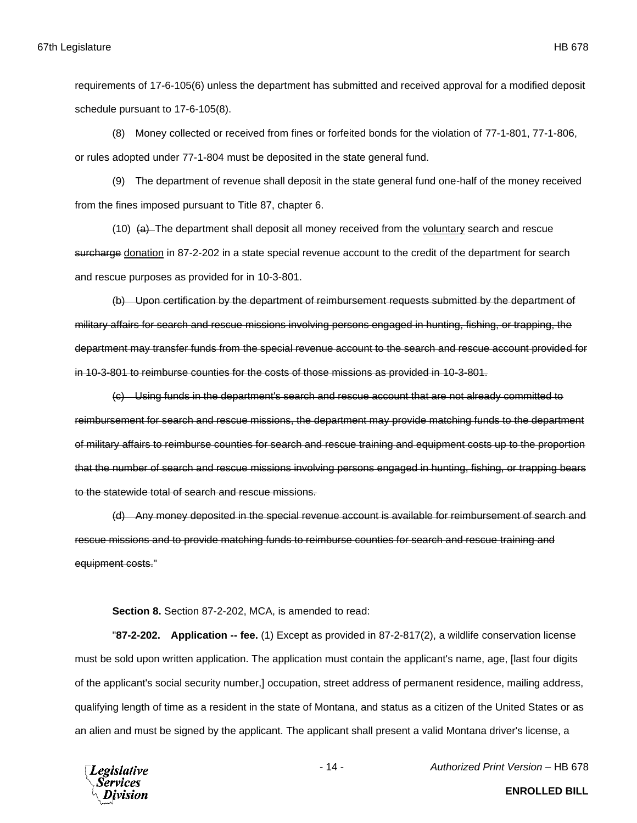requirements of 17-6-105(6) unless the department has submitted and received approval for a modified deposit schedule pursuant to 17-6-105(8).

(8) Money collected or received from fines or forfeited bonds for the violation of 77-1-801, 77-1-806, or rules adopted under 77-1-804 must be deposited in the state general fund.

(9) The department of revenue shall deposit in the state general fund one-half of the money received from the fines imposed pursuant to Title 87, chapter 6.

 $(10)$   $(a)$  The department shall deposit all money received from the voluntary search and rescue surcharge donation in 87-2-202 in a state special revenue account to the credit of the department for search and rescue purposes as provided for in 10-3-801.

(b) Upon certification by the department of reimbursement requests submitted by the department of military affairs for search and rescue missions involving persons engaged in hunting, fishing, or trapping, the department may transfer funds from the special revenue account to the search and rescue account provided for in 10-3-801 to reimburse counties for the costs of those missions as provided in 10-3-801.

(c) Using funds in the department's search and rescue account that are not already committed to reimbursement for search and rescue missions, the department may provide matching funds to the department of military affairs to reimburse counties for search and rescue training and equipment costs up to the proportion that the number of search and rescue missions involving persons engaged in hunting, fishing, or trapping bears to the statewide total of search and rescue missions.

(d) Any money deposited in the special revenue account is available for reimbursement of search and rescue missions and to provide matching funds to reimburse counties for search and rescue training and equipment costs."

## **Section 8.** Section 87-2-202, MCA, is amended to read:

"**87-2-202. Application -- fee.** (1) Except as provided in 87-2-817(2), a wildlife conservation license must be sold upon written application. The application must contain the applicant's name, age, [last four digits of the applicant's social security number,] occupation, street address of permanent residence, mailing address, qualifying length of time as a resident in the state of Montana, and status as a citizen of the United States or as an alien and must be signed by the applicant. The applicant shall present a valid Montana driver's license, a



- 14 - *Authorized Print Version* – HB 678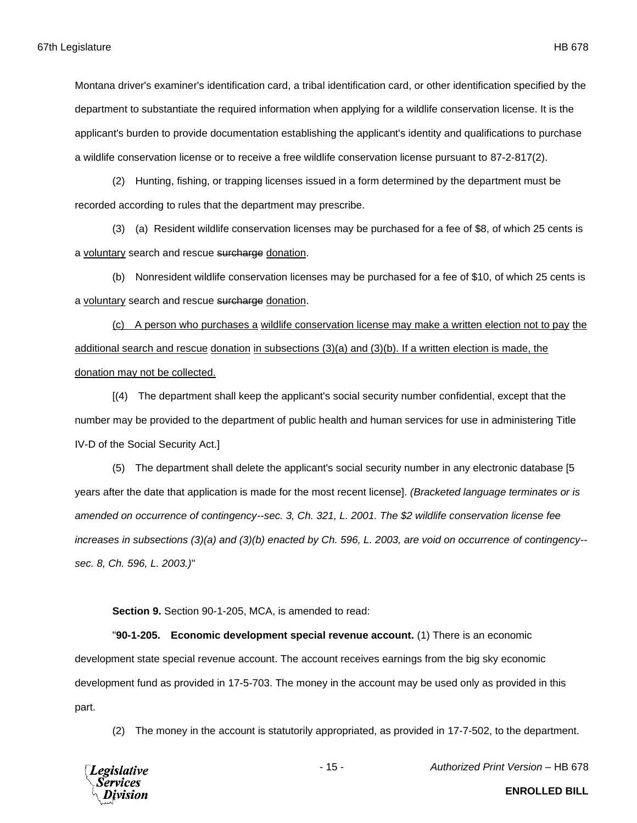Montana driver's examiner's identification card, a tribal identification card, or other identification specified by the department to substantiate the required information when applying for a wildlife conservation license. It is the applicant's burden to provide documentation establishing the applicant's identity and qualifications to purchase a wildlife conservation license or to receive a free wildlife conservation license pursuant to 87-2-817(2).

(2) Hunting, fishing, or trapping licenses issued in a form determined by the department must be recorded according to rules that the department may prescribe.

(3) (a) Resident wildlife conservation licenses may be purchased for a fee of \$8, of which 25 cents is a voluntary search and rescue surcharge donation.

(b) Nonresident wildlife conservation licenses may be purchased for a fee of \$10, of which 25 cents is a voluntary search and rescue surcharge donation.

(c) A person who purchases a wildlife conservation license may make a written election not to pay the additional search and rescue donation in subsections (3)(a) and (3)(b). If a written election is made, the donation may not be collected.

[(4) The department shall keep the applicant's social security number confidential, except that the number may be provided to the department of public health and human services for use in administering Title IV-D of the Social Security Act.]

(5) The department shall delete the applicant's social security number in any electronic database [5 years after the date that application is made for the most recent license]. *(Bracketed language terminates or is amended on occurrence of contingency--sec. 3, Ch. 321, L. 2001. The \$2 wildlife conservation license fee increases in subsections (3)(a) and (3)(b) enacted by Ch. 596, L. 2003, are void on occurrence of contingency- sec. 8, Ch. 596, L. 2003.)*"

**Section 9.** Section 90-1-205, MCA, is amended to read:

"**90-1-205. Economic development special revenue account.** (1) There is an economic development state special revenue account. The account receives earnings from the big sky economic development fund as provided in 17-5-703. The money in the account may be used only as provided in this part.

(2) The money in the account is statutorily appropriated, as provided in 17-7-502, to the department.



- 15 - *Authorized Print Version* – HB 678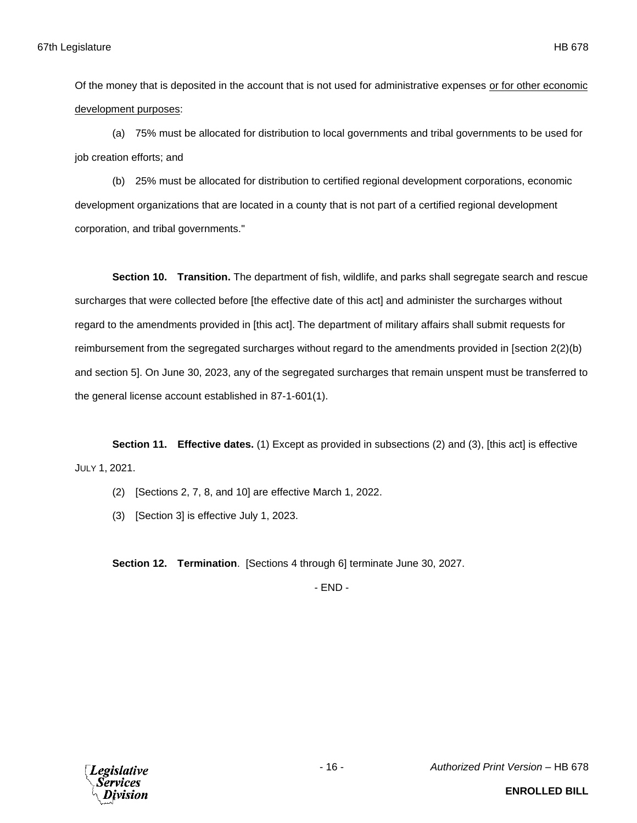Of the money that is deposited in the account that is not used for administrative expenses or for other economic development purposes:

(a) 75% must be allocated for distribution to local governments and tribal governments to be used for job creation efforts; and

(b) 25% must be allocated for distribution to certified regional development corporations, economic development organizations that are located in a county that is not part of a certified regional development corporation, and tribal governments."

**Section 10. Transition.** The department of fish, wildlife, and parks shall segregate search and rescue surcharges that were collected before [the effective date of this act] and administer the surcharges without regard to the amendments provided in [this act]. The department of military affairs shall submit requests for reimbursement from the segregated surcharges without regard to the amendments provided in [section 2(2)(b) and section 5]. On June 30, 2023, any of the segregated surcharges that remain unspent must be transferred to the general license account established in 87-1-601(1).

**Section 11. Effective dates.** (1) Except as provided in subsections (2) and (3), [this act] is effective JULY 1, 2021.

- (2) [Sections 2, 7, 8, and 10] are effective March 1, 2022.
- (3) [Section 3] is effective July 1, 2023.

**Section 12. Termination**. [Sections 4 through 6] terminate June 30, 2027.

- END -

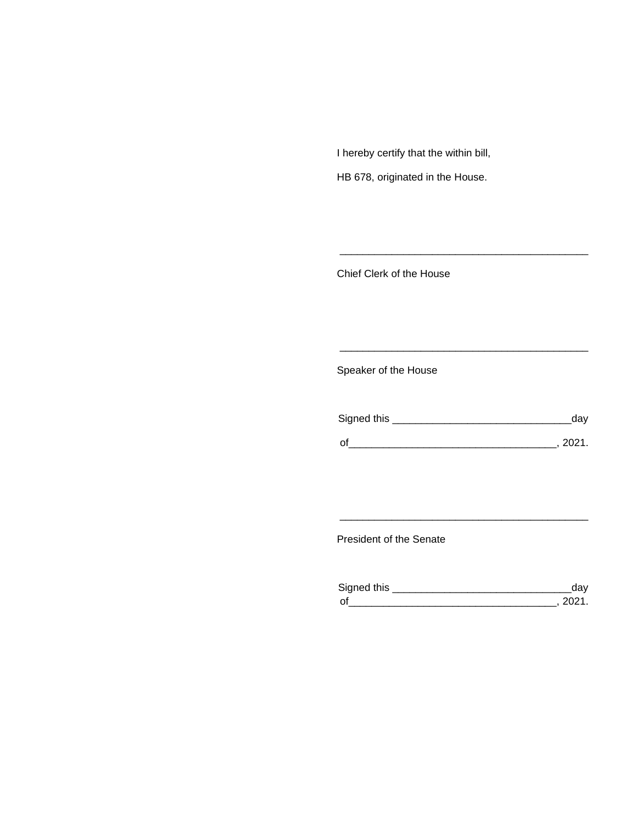I hereby certify that the within bill,

HB 678, originated in the House.

Chief Clerk of the House

Speaker of the House

| Signed this | dav    |
|-------------|--------|
| $\Omega$    | - 2021 |

\_\_\_\_\_\_\_\_\_\_\_\_\_\_\_\_\_\_\_\_\_\_\_\_\_\_\_\_\_\_\_\_\_\_\_\_\_\_\_\_\_\_\_

\_\_\_\_\_\_\_\_\_\_\_\_\_\_\_\_\_\_\_\_\_\_\_\_\_\_\_\_\_\_\_\_\_\_\_\_\_\_\_\_\_\_\_

President of the Senate

| Signed this                |  |
|----------------------------|--|
| $\mathsf{\Omega}^{\prime}$ |  |

\_\_\_\_\_\_\_\_\_\_\_\_\_\_\_\_\_\_\_\_\_\_\_\_\_\_\_\_\_\_\_\_\_\_\_\_\_\_\_\_\_\_\_